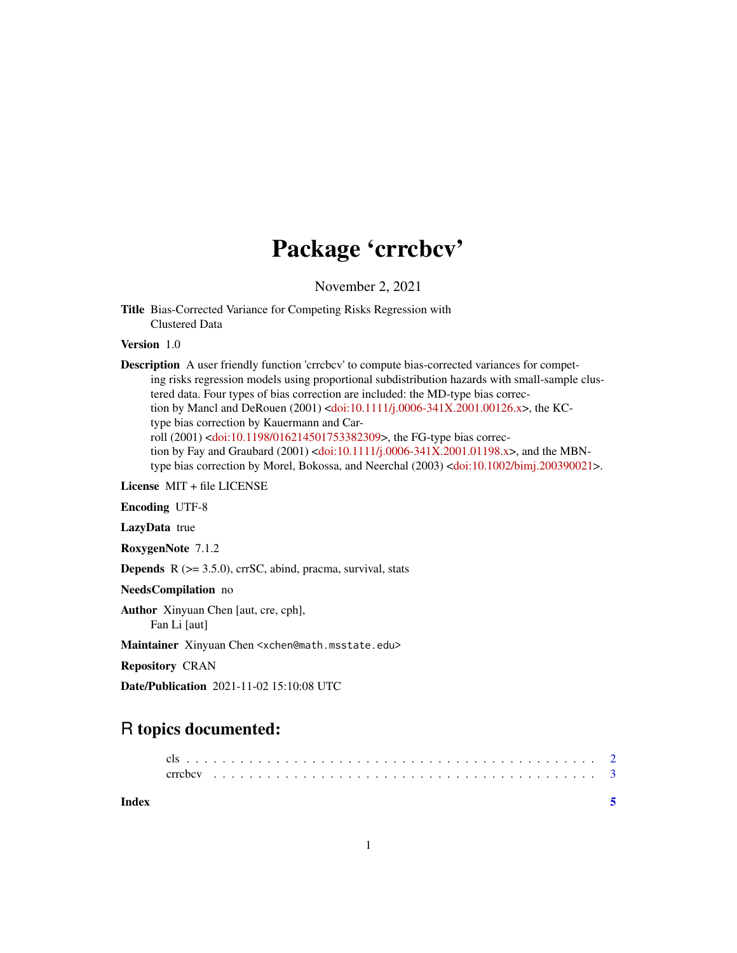## Package 'crrcbcv'

November 2, 2021

Title Bias-Corrected Variance for Competing Risks Regression with Clustered Data

Version 1.0

Description A user friendly function 'crrcbcv' to compute bias-corrected variances for competing risks regression models using proportional subdistribution hazards with small-sample clustered data. Four types of bias correction are included: the MD-type bias correction by Mancl and DeRouen (2001) [<doi:10.1111/j.0006-341X.2001.00126.x>](https://doi.org/10.1111/j.0006-341X.2001.00126.x), the KCtype bias correction by Kauermann and Carroll (2001) [<doi:10.1198/016214501753382309>](https://doi.org/10.1198/016214501753382309), the FG-type bias correc-tion by Fay and Graubard (2001) [<doi:10.1111/j.0006-341X.2001.01198.x>](https://doi.org/10.1111/j.0006-341X.2001.01198.x), and the MBNtype bias correction by Morel, Bokossa, and Neerchal (2003) [<doi:10.1002/bimj.200390021>](https://doi.org/10.1002/bimj.200390021).

License MIT + file LICENSE

Encoding UTF-8

LazyData true

RoxygenNote 7.1.2

Depends R (>= 3.5.0), crrSC, abind, pracma, survival, stats

NeedsCompilation no

Author Xinyuan Chen [aut, cre, cph], Fan Li [aut]

Maintainer Xinyuan Chen <xchen@math.msstate.edu>

Repository CRAN

Date/Publication 2021-11-02 15:10:08 UTC

### R topics documented: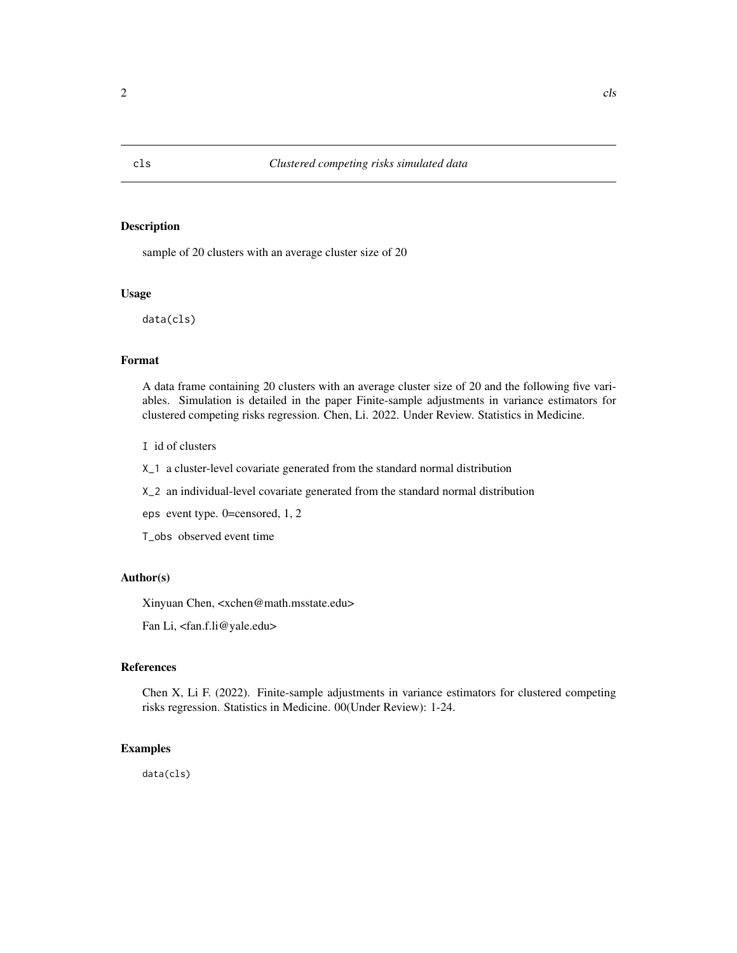#### Description

sample of 20 clusters with an average cluster size of 20

#### Usage

data(cls)

#### Format

A data frame containing 20 clusters with an average cluster size of 20 and the following five variables. Simulation is detailed in the paper Finite-sample adjustments in variance estimators for clustered competing risks regression. Chen, Li. 2022. Under Review. Statistics in Medicine.

I id of clusters

X\_1 a cluster-level covariate generated from the standard normal distribution

X\_2 an individual-level covariate generated from the standard normal distribution

eps event type. 0=censored, 1, 2

T\_obs observed event time

#### Author(s)

Xinyuan Chen, <xchen@math.msstate.edu>

Fan Li, <fan.f.li@yale.edu>

#### References

Chen X, Li F. (2022). Finite-sample adjustments in variance estimators for clustered competing risks regression. Statistics in Medicine. 00(Under Review): 1-24.

#### Examples

data(cls)

<span id="page-1-0"></span>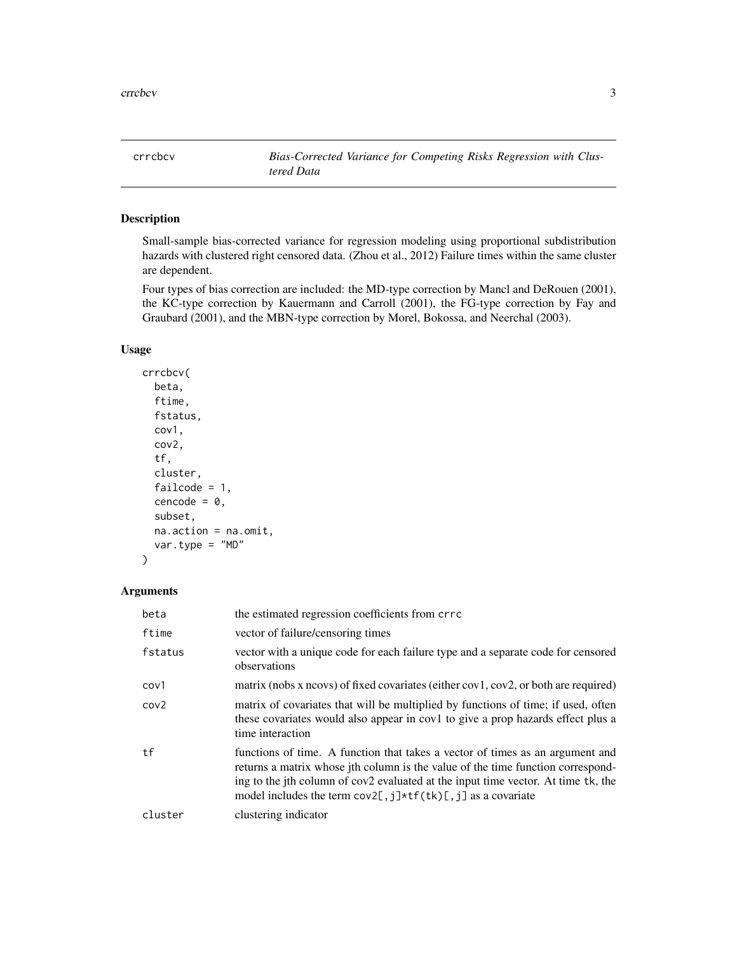<span id="page-2-0"></span>crrcbcv *Bias-Corrected Variance for Competing Risks Regression with Clustered Data*

#### Description

Small-sample bias-corrected variance for regression modeling using proportional subdistribution hazards with clustered right censored data. (Zhou et al., 2012) Failure times within the same cluster are dependent.

Four types of bias correction are included: the MD-type correction by Mancl and DeRouen (2001), the KC-type correction by Kauermann and Carroll (2001), the FG-type correction by Fay and Graubard (2001), and the MBN-type correction by Morel, Bokossa, and Neerchal (2003).

#### Usage

```
crrcbcv(
  beta,
  ftime,
  fstatus,
  cov1,
  cov2,
  tf,
  cluster,
  failcode = 1,
  cencode = 0,
  subset,
  na.action = na.omit,
  var.type = MDP)
```
#### Arguments

| beta             | the estimated regression coefficients from crrc                                                                                                                                                                                                                                                                           |
|------------------|---------------------------------------------------------------------------------------------------------------------------------------------------------------------------------------------------------------------------------------------------------------------------------------------------------------------------|
| ftime            | vector of failure/censoring times                                                                                                                                                                                                                                                                                         |
| fstatus          | vector with a unique code for each failure type and a separate code for censored<br>observations                                                                                                                                                                                                                          |
| cov1             | matrix (nobs x ncovs) of fixed covariates (either cov1, cov2, or both are required)                                                                                                                                                                                                                                       |
| cov <sub>2</sub> | matrix of covariates that will be multiplied by functions of time; if used, often<br>these covariates would also appear in cov1 to give a prop hazards effect plus a<br>time interaction                                                                                                                                  |
| tf               | functions of time. A function that takes a vector of times as an argument and<br>returns a matrix whose jth column is the value of the time function correspond-<br>ing to the jth column of cov2 evaluated at the input time vector. At time tk, the<br>model includes the term $cov2[, j] * tf(tk)[, j]$ as a covariate |
| cluster          | clustering indicator                                                                                                                                                                                                                                                                                                      |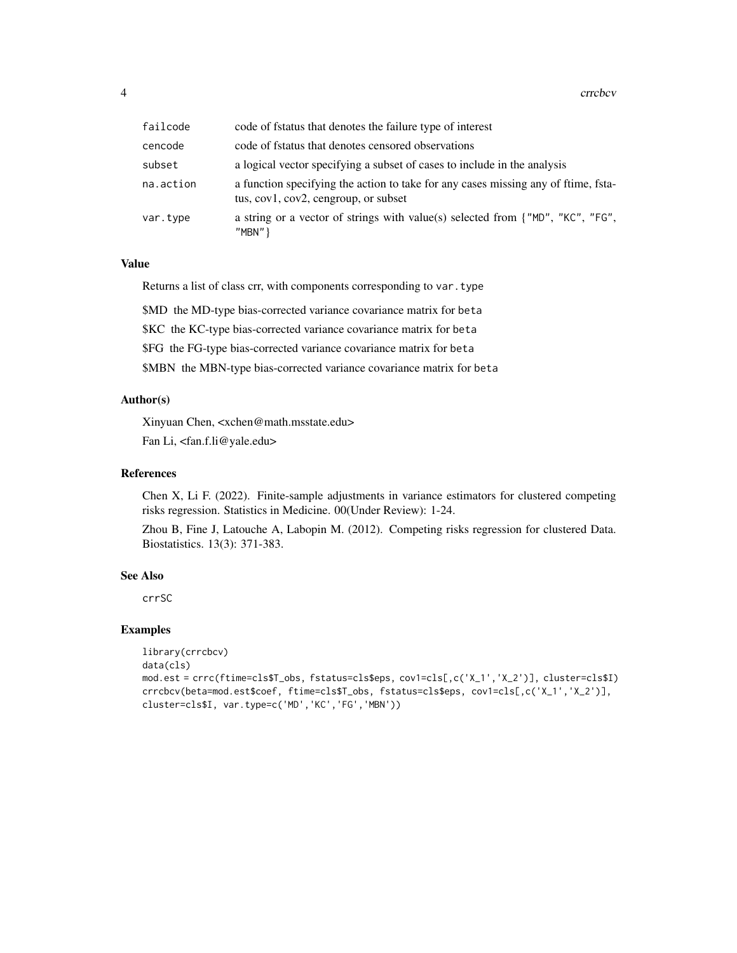| failcode  | code of fstatus that denotes the failure type of interest                                                                  |
|-----------|----------------------------------------------------------------------------------------------------------------------------|
| cencode   | code of fstatus that denotes censored observations                                                                         |
| subset    | a logical vector specifying a subset of cases to include in the analysis                                                   |
| na.action | a function specifying the action to take for any cases missing any of ftime, fsta-<br>tus, cov1, cov2, cengroup, or subset |
| var.type  | a string or a vector of strings with value(s) selected from {"MD", "KC", "FG",<br>" $MBN"$ }                               |

#### Value

Returns a list of class crr, with components corresponding to var.type

\$MD the MD-type bias-corrected variance covariance matrix for beta

\$KC the KC-type bias-corrected variance covariance matrix for beta

\$FG the FG-type bias-corrected variance covariance matrix for beta

\$MBN the MBN-type bias-corrected variance covariance matrix for beta

#### Author(s)

Xinyuan Chen, <xchen@math.msstate.edu> Fan Li, <fan.f.li@yale.edu>

#### References

Chen X, Li F. (2022). Finite-sample adjustments in variance estimators for clustered competing risks regression. Statistics in Medicine. 00(Under Review): 1-24.

Zhou B, Fine J, Latouche A, Labopin M. (2012). Competing risks regression for clustered Data. Biostatistics. 13(3): 371-383.

#### See Also

crrSC

#### Examples

```
library(crrcbcv)
data(cls)
mod.est = crrc(ftime=cls$T_obs, fstatus=cls$eps, cov1=cls[,c('X_1','X_2')], cluster=cls$I)
crrcbcv(beta=mod.est$coef, ftime=cls$T_obs, fstatus=cls$eps, cov1=cls[,c('X_1','X_2')],
cluster=cls$I, var.type=c('MD','KC','FG','MBN'))
```